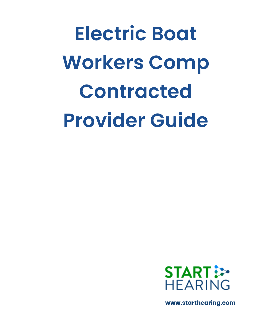**Electric Boat Workers Comp Contracted Provider Guide**



**www.starthearing.com**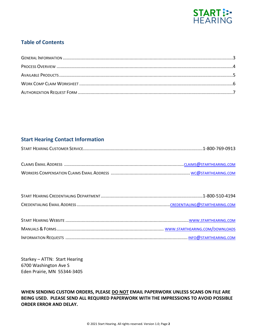

# **Table of Contents**

# **Start Hearing Contact Information**

Starkey – ATTN: Start Hearing 6700 Washington Ave S Eden Prairie, MN 55344-3405

**WHEN SENDING CUSTOM ORDERS, PLEASE DO NOT EMAIL PAPERWORK UNLESS SCANS ON FILE ARE BEING USED. PLEASE SEND ALL REQUIRED PAPERWORK WITH THE IMPRESSIONS TO AVOID POSSIBLE ORDER ERROR AND DELAY.**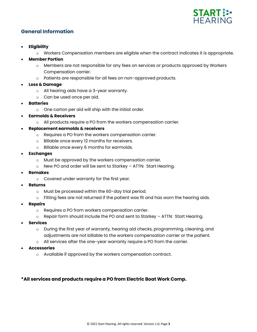

# **General Information**

- **Eligibility**
	- o Workers Compensation members are eligible when the contract indicates it is appropriate.
- **Member Portion**
	- o Members are not responsible for any fees on services or products approved by Workers Compensation carrier.
	- o Patients are responsible for all fees on non-approved products.
- **Loss & Damage**
	- o All hearing aids have a 3-year warranty.
	- o Can be used once per aid.
- **Batteries**
	- o One carton per aid will ship with the initial order.
- **Earmolds & Receivers**
	- o All products require a PO from the workers compensation carrier.
- **Replacement earmolds & receivers**
	- o Requires a PO from the workers compensation carrier.
	- o Billable once every 12 months for receivers.
	- o Billable once every 6 months for earmolds.
- **Exchanges**
	- o Must be approved by the workers compensation carrier.
	- o New PO and order will be sent to Starkey ATTN: Start Hearing.
- **Remakes**
	- o Covered under warranty for the first year.
- **Returns**
	- o Must be processed within the 60-day trial period.
	- $\circ$  Fitting fees are not returned if the patient was fit and has worn the hearing aids.
- **Repairs**
	- o Requires a PO from workers compensation carrier.
	- $\circ$  Repair form should include the PO and sent to Starkey ATTN: Start Hearing.
- **Services**
	- o During the first year of warranty, hearing aid checks, programming, cleaning, and adjustments are not billable to the workers compensation carrier or the patient.
	- o All services after the one-year warranty require a PO from the carrier.
- **Accessories**
	- o Available if approved by the workers compensation contract.

## **\*All services and products require a PO from Electric Boat Work Comp.**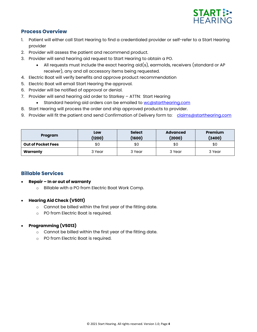

# **Process Overview**

- 1. Patient will either call Start Hearing to find a credentialed provider or self-refer to a Start Hearing provider
- 2. Provider will assess the patient and recommend product.
- 3. Provider will send hearing aid request to Start Hearing to obtain a PO.
	- All requests must include the exact hearing aid(s), earmolds, receivers (standard or AP receiver), any and all accessory items being requested.
- 4. Electric Boat will verify benefits and approve product recommendation
- 5. Electric Boat will email Start Hearing the approval.
- 6. Provider will be notified of approval or denial.
- 7. Provider will send hearing aid order to Starkey ATTN: Start Hearing
	- Standard hearing aid orders can be emailed to [wc@starthearing.com](mailto:wc@starthearing.com)
- 8. Start Hearing will process the order and ship approved products to provider.
- 9. Provider will fit the patient and send Confirmation of Delivery form to: [claims@starthearing.com](mailto:claims@starthearing.com)

| Program                   | Low<br>(1200) | <b>Select</b><br>(1600) | <b>Advanced</b><br>(2000) | <b>Premium</b><br>(2400) |
|---------------------------|---------------|-------------------------|---------------------------|--------------------------|
| <b>Out of Pocket Fees</b> | \$0           | \$0                     | \$0                       | \$0                      |
| Warranty                  | 3 Year        | 3 Year                  | 3 Year                    | 3 Year                   |

# **Billable Services**

- **Repair – In or out of warranty**
	- o Billable with a PO from Electric Boat Work Comp.

## • **Hearing Aid Check (V5011)**

- o Cannot be billed within the first year of the fitting date.
- o PO from Electric Boat is required.

## • **Programming (V5013)**

- o Cannot be billed within the first year of the fitting date.
- o PO from Electric Boat is required.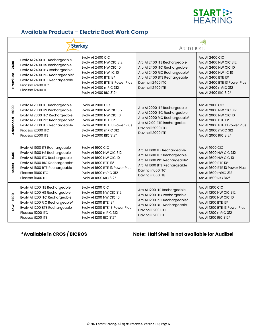

# **Available Products – Electric Boat Work Comp**

|                       | <b>Starkey</b>                                                                                                                                                                                                   |                                                                                                                                                                                                                                   | AUDIBEL.                                                                                                                                                                |                                                                                                                                                                                                            |
|-----------------------|------------------------------------------------------------------------------------------------------------------------------------------------------------------------------------------------------------------|-----------------------------------------------------------------------------------------------------------------------------------------------------------------------------------------------------------------------------------|-------------------------------------------------------------------------------------------------------------------------------------------------------------------------|------------------------------------------------------------------------------------------------------------------------------------------------------------------------------------------------------------|
| $-2400$<br>Premium    | Evolv AI 2400 ITE Rechargeable<br>Evolv AI 2400 HS Rechargeable<br>Evolv AI 2400 ITC Rechargeable<br>Evolv AI 2400 RIC Rechargeable*<br>Evolv AI 2400 BTE Rechargeable<br>Picasso i2400 ITC<br>Picasso i2400 ITE | Evolv AI 2400 CIC<br>Evolv AI 2400 NW CIC 312<br><b>Evolv AI 2400 NW CIC 10</b><br><b>EVOIV AI 2400 NW IIC 10</b><br>Evolv AI 2400 BTE 13*<br>Evoly AI 2400 BTE 13 Power Plus<br>Evolv AI 2400 mRIC 312<br>Evolv AI 2400 RIC 312* | Arc AI 2400 ITE Rechargeable<br>Arc Al 2400 ITC Rechargeable<br>Arc Al 2400 RIC Rechargeable*<br>Arc Al 2400 BTE Rechargeable<br>Davinci i2400 ITC<br>Davinci i2400 ITE | <b>Arc AI 2400 CIC</b><br>Arc AI 2400 NW CIC 312<br>Arc AI 2400 NW CIC 10<br>Arc AI 2400 NW IIC 10<br>Arc AI 2400 BTE 13*<br>Arc AI 2400 BTE 13 Power Plus<br>Arc AI 2400 mRIC 312<br>Arc AI 2400 RIC 312* |
| $-2000$<br>Advanced   | Evolv AI 2000 ITE Rechargeable<br>Evolv AI 2000 HS Rechargeable<br>Evolv AI 2000 ITC Rechargeable<br>Evolv AI 2000 RIC Rechargeable*<br>Evolv AI 2000 BTE Rechargeable<br>Picasso i2000 ITC<br>Picasso i2000 ITE | Evolv AI 2000 CIC<br><b>Evolv AI 2000 NW CIC 312</b><br><b>Evolv AI 2000 NW CIC 10</b><br>Evolv AI 2000 BTE 13*<br>Evoly AI 2000 BTE 13 Power Plus<br>Evolv AI 2000 mRIC 312<br>Evolv AI 2000 RIC 312*                            | Arc AI 2000 ITE Rechargeable<br>Arc AI 2000 ITC Rechargeable<br>Arc Al 2000 RIC Rechargeable*<br>Arc AI 2.00 BTE Rechargeable<br>Davinci i2000 ITC<br>Davinci i2000 ITE | <b>Arc AI 2000 CIC</b><br>Arc AI 2000 NW CIC 312<br>Arc AI 2000 NW CIC 10<br>Arc AI 2000 BTE 13*<br>Arc AI 2000 BTE 13 Power Plus<br>Arc AI 2000 mRIC 312<br>Arc AI 2000 RIC 312*                          |
| Select-1600           | Evolv AI 1600 ITE Rechargeable<br>Evolv AI 1600 HS Rechargeable<br>Evolv AI 1600 ITC Rechargeable<br>Evolv AI 1600 RIC Rechargeable*<br>Evolv AI 1600 BTE Rechargeable<br>Picasso i1600 ITC<br>Picasso i1600 ITE | Evolv AI 1600 CIC<br>Evoly AI 1600 NW CIC 312<br><b>Evolv AI 1600 NW CIC 10</b><br>Evolv AI 1600 BTE 13*<br>Evoly AI 1600 BTE 13 Power Plus<br>Evolv AI 1600 mRIC 312<br>Evolv AI 1600 RIC 312*                                   | Arc AI 1600 ITE Rechargeable<br>Arc AI 1600 ITC Rechargeable<br>Arc Al 1600 RIC Rechargeable*<br>Arc AI 1600 BTE Rechargeable<br>Davinci i1600 ITC<br>Davinci i1600 ITE | <b>Arc AI 1600 CIC</b><br>Arc AI 1600 NW CIC 312<br>Arc AI 1600 NW CIC 10<br>Arc AI 1600 BTE 13*<br>Arc AI 1600 BTE 13 Power Plus<br>Arc AI 1600 mRIC 312<br>Arc AI 1600 RIC 312*                          |
| $-1200$<br><b>No7</b> | Evolv AI 1200 ITE Rechargeable<br>Evolv AI 1200 HS Rechargeable<br>Evolv AI 1200 ITC Rechargeable<br>Evolv Al 1200 RIC Rechargeable*<br>Evolv AI 1200 BTE Rechargeable<br>Picasso il200 ITC<br>Picasso i1200 ITE | Evolv AI 1200 CIC<br>Evolv AI 1200 NW CIC 312<br><b>Evolv AI 1200 NW CIC 10</b><br>Evolv AI 1200 BTE 13*<br>Evoly AI 1200 BTE 13 Power Plus<br>Evolv AI 1200 mRIC 312<br>Evolv AI 1200 RIC 312*                                   | Arc AI 1200 ITE Rechargeable<br>Arc AI 1200 ITC Rechargeable<br>Arc Al 1200 RIC Rechargeable*<br>Arc Al 1200 BTE Rechargeable<br>Davinci il200 ITC<br>Davinci il200 ITE | <b>Arc AI 1200 CIC</b><br>Arc AI 1200 NW CIC 312<br>Arc AI 1200 NW CIC 10<br>Arc AI 1200 BTE 13*<br>Arc AI 1200 BTE 13 Power Plus<br>Arc AI 1200 mRIC 312<br>Arc AI 1200 RIC 312*                          |

# **\*Available in CROS / BICROS Note: Half Shell is not available for Audibel**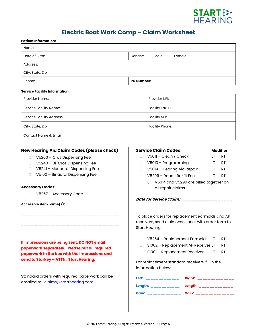

# **Electric Boat Work Comp – Claim Worksheet**

| Gender:<br>Male<br>Female                                                                                                                                                                                                                                                                                                                                                                                                                                                                                          |
|--------------------------------------------------------------------------------------------------------------------------------------------------------------------------------------------------------------------------------------------------------------------------------------------------------------------------------------------------------------------------------------------------------------------------------------------------------------------------------------------------------------------|
|                                                                                                                                                                                                                                                                                                                                                                                                                                                                                                                    |
|                                                                                                                                                                                                                                                                                                                                                                                                                                                                                                                    |
| <b>PO Number:</b>                                                                                                                                                                                                                                                                                                                                                                                                                                                                                                  |
|                                                                                                                                                                                                                                                                                                                                                                                                                                                                                                                    |
| Provider NPI:                                                                                                                                                                                                                                                                                                                                                                                                                                                                                                      |
| Facility Tax ID:                                                                                                                                                                                                                                                                                                                                                                                                                                                                                                   |
| <b>Facility NPI:</b>                                                                                                                                                                                                                                                                                                                                                                                                                                                                                               |
| <b>Facility Phone:</b>                                                                                                                                                                                                                                                                                                                                                                                                                                                                                             |
|                                                                                                                                                                                                                                                                                                                                                                                                                                                                                                                    |
|                                                                                                                                                                                                                                                                                                                                                                                                                                                                                                                    |
| <b>Service Claim Codes</b><br><b>Modifier</b><br>$V5011 - Clean / Check$<br>RT<br>П.<br>LT<br>V5013 - Programming<br><b>RT</b><br>LT.<br>$\Box$<br>V5014 - Hearing Aid Repair<br><b>RT</b><br>LT.<br>$\Box$<br>V5299 - Repair Re-fit Fee<br><b>RT</b><br>LT<br>$\Box$<br>V5014 and V5299 are billed together on<br>$\circ$<br>all repair claims<br>Date for Service Claim: ____________<br>To place orders for replacement earmolds and AP<br>receivers, send claim worksheet with order form to<br>Start Hearing. |
| V5264 - Replacement Earmold<br>RT.<br>LT<br>$\Box$<br>S1002 - Replacement AP Receiver LT<br><b>RT</b><br>$\Box$<br>S1001 - Replacement Receiver<br><b>RT</b><br>LT.<br>$\Box$<br>For replacement standard receivers, fill in the<br>information below:                                                                                                                                                                                                                                                             |
|                                                                                                                                                                                                                                                                                                                                                                                                                                                                                                                    |